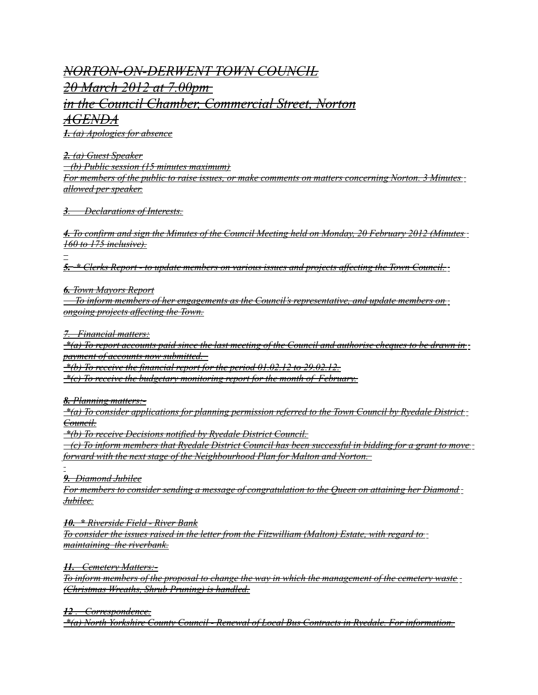## *NORTON-ON-DERWENT TOWN COUNCIL 20 March 2012 at 7.00pm in the Council Chamber, Commercial Street, Norton AGENDA*

 *1. (a) Apologies for absence*

 *2. (a) Guest Speaker (b) Public session (15 minutes maximum) For members of the public to raise issues, or make comments on matters concerning Norton. 3 Minutes allowed per speaker.*

 *3 . Declarations of Interests.*

 *4. To confirm and sign the Minutes of the Council Meeting held on Monday, 20 February 2012 (Minutes 160 to 175 inclusive).*

 *5 . \* Clerks Report - to update members on various issues and projects affecting the Town Council.*

 *6. Town Mayors Report*

 *To inform members of her engagements as the Council's representative, and update members on ongoing projects affecting the Town.*

 *7 . Financial matters:*

 *\*(a) To report accounts paid since the last meeting of the Council and authorise cheques to be drawn in payment of accounts now submitted.* 

 *\*(b) To receive the financial report for the period 01.02.12 to 29.02.12.*

 *\*(c) To receive the budgetary monitoring report for the month of February.*

 *8. Planning matters:-*

 *\*(a) To consider applications for planning permission referred to the Town Council by Ryedale District Council.*

 *\*(b) To receive Decisions notified by Ryedale District Council.*

 *(c) To inform members that Ryedale District Council has been successful in bidding for a grant to move forward with the next stage of the Neighbourhood Plan for Malton and Norton.* 

 *9. Diamond Jubilee*

*For members to consider sending a message of congratulation to the Queen on attaining her Diamond Jubilee.*

 *10. \* Riverside Field - River Bank*

*To consider the issues raised in the letter from the Fitzwilliam (Malton) Estate, with regard to maintaining the riverbank.*

 *11. Cemetery Matters:-*

*To inform members of the proposal to change the way in which the management of the cemetery waste (Christmas Wreaths, Shrub Pruning) is handled.*

 *12 . Correspondence.*

 *\*(a) North Yorkshire County Council - Renewal of Local Bus Contracts in Ryedale. For information.*